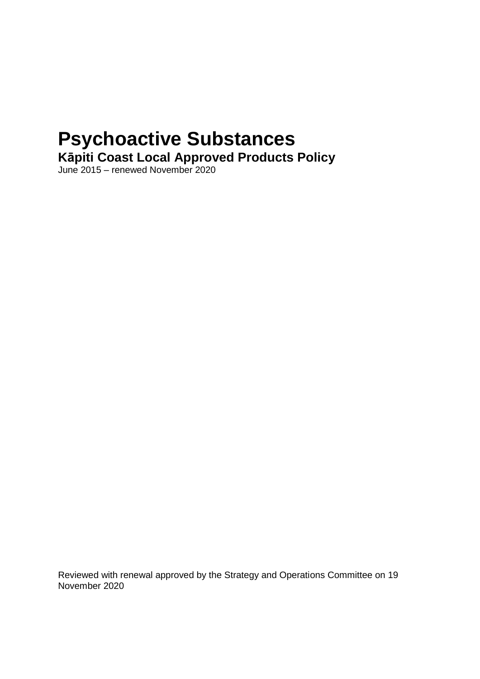# **Psychoactive Substances**

**Kāpiti Coast Local Approved Products Policy** 

June 2015 – renewed November 2020

Reviewed with renewal approved by the Strategy and Operations Committee on 19 November 2020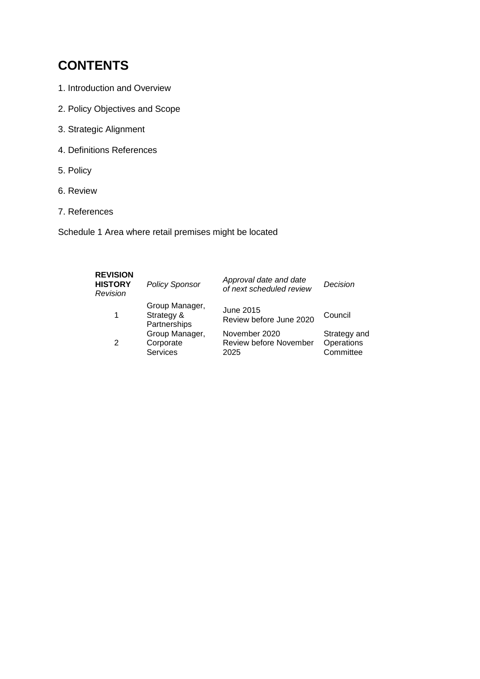# **CONTENTS**

- 1. Introduction and Overview
- 2. Policy Objectives and Scope
- 3. Strategic Alignment
- 4. Definitions References
- 5. Policy
- 6. Review
- 7. References

Schedule 1 Area where retail premises might be located

| <b>REVISION</b><br><b>HISTORY</b><br>Revision | <b>Policy Sponsor</b>                        | Approval date and date<br>of next scheduled review     | Decision                                |
|-----------------------------------------------|----------------------------------------------|--------------------------------------------------------|-----------------------------------------|
|                                               | Group Manager,<br>Strategy &<br>Partnerships | June 2015<br>Review before June 2020                   | Council                                 |
| 2                                             | Group Manager,<br>Corporate<br>Services      | November 2020<br><b>Review before November</b><br>2025 | Strategy and<br>Operations<br>Committee |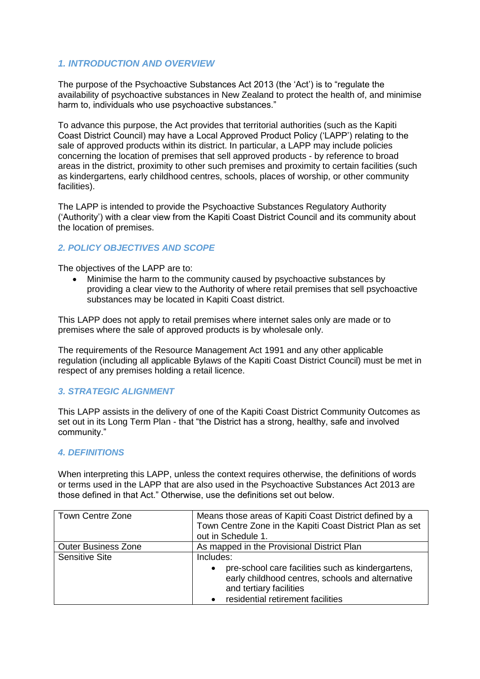# *1. INTRODUCTION AND OVERVIEW*

The purpose of the Psychoactive Substances Act 2013 (the 'Act') is to "regulate the availability of psychoactive substances in New Zealand to protect the health of, and minimise harm to, individuals who use psychoactive substances."

To advance this purpose, the Act provides that territorial authorities (such as the Kapiti Coast District Council) may have a Local Approved Product Policy ('LAPP') relating to the sale of approved products within its district. In particular, a LAPP may include policies concerning the location of premises that sell approved products - by reference to broad areas in the district, proximity to other such premises and proximity to certain facilities (such as kindergartens, early childhood centres, schools, places of worship, or other community facilities).

The LAPP is intended to provide the Psychoactive Substances Regulatory Authority ('Authority') with a clear view from the Kapiti Coast District Council and its community about the location of premises.

# *2. POLICY OBJECTIVES AND SCOPE*

The objectives of the LAPP are to:

 Minimise the harm to the community caused by psychoactive substances by providing a clear view to the Authority of where retail premises that sell psychoactive substances may be located in Kapiti Coast district.

This LAPP does not apply to retail premises where internet sales only are made or to premises where the sale of approved products is by wholesale only.

The requirements of the Resource Management Act 1991 and any other applicable regulation (including all applicable Bylaws of the Kapiti Coast District Council) must be met in respect of any premises holding a retail licence.

# *3. STRATEGIC ALIGNMENT*

This LAPP assists in the delivery of one of the Kapiti Coast District Community Outcomes as set out in its Long Term Plan - that "the District has a strong, healthy, safe and involved community."

# *4. DEFINITIONS*

When interpreting this LAPP, unless the context requires otherwise, the definitions of words or terms used in the LAPP that are also used in the Psychoactive Substances Act 2013 are those defined in that Act." Otherwise, use the definitions set out below.

| Town Centre Zone           | Means those areas of Kapiti Coast District defined by a<br>Town Centre Zone in the Kapiti Coast District Plan as set<br>out in Schedule 1.                                         |
|----------------------------|------------------------------------------------------------------------------------------------------------------------------------------------------------------------------------|
| <b>Outer Business Zone</b> | As mapped in the Provisional District Plan                                                                                                                                         |
| <b>Sensitive Site</b>      | Includes:<br>pre-school care facilities such as kindergartens,<br>early childhood centres, schools and alternative<br>and tertiary facilities<br>residential retirement facilities |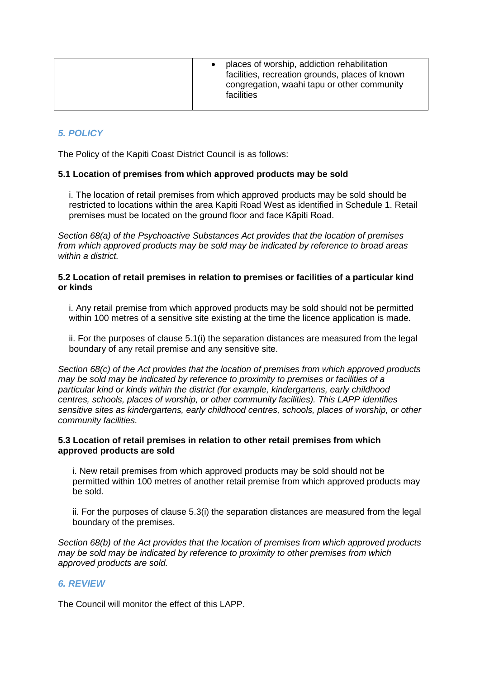# *5. POLICY*

The Policy of the Kapiti Coast District Council is as follows:

#### **5.1 Location of premises from which approved products may be sold**

i. The location of retail premises from which approved products may be sold should be restricted to locations within the area Kapiti Road West as identified in Schedule 1. Retail premises must be located on the ground floor and face Kāpiti Road.

*Section 68(a) of the Psychoactive Substances Act provides that the location of premises from which approved products may be sold may be indicated by reference to broad areas within a district.* 

#### **5.2 Location of retail premises in relation to premises or facilities of a particular kind or kinds**

i. Any retail premise from which approved products may be sold should not be permitted within 100 metres of a sensitive site existing at the time the licence application is made.

ii. For the purposes of clause 5.1(i) the separation distances are measured from the legal boundary of any retail premise and any sensitive site.

*Section 68(c) of the Act provides that the location of premises from which approved products may be sold may be indicated by reference to proximity to premises or facilities of a particular kind or kinds within the district (for example, kindergartens, early childhood centres, schools, places of worship, or other community facilities). This LAPP identifies sensitive sites as kindergartens, early childhood centres, schools, places of worship, or other community facilities.*

#### **5.3 Location of retail premises in relation to other retail premises from which approved products are sold**

i. New retail premises from which approved products may be sold should not be permitted within 100 metres of another retail premise from which approved products may be sold.

ii. For the purposes of clause 5.3(i) the separation distances are measured from the legal boundary of the premises.

*Section 68(b) of the Act provides that the location of premises from which approved products may be sold may be indicated by reference to proximity to other premises from which approved products are sold.*

# *6. REVIEW*

The Council will monitor the effect of this LAPP.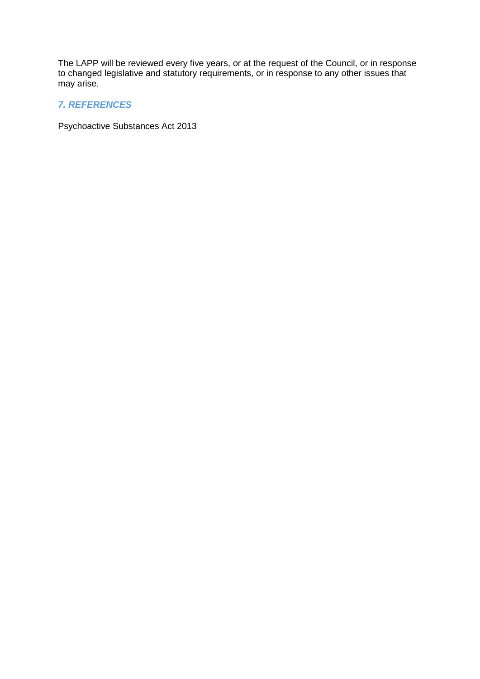The LAPP will be reviewed every five years, or at the request of the Council, or in response to changed legislative and statutory requirements, or in response to any other issues that may arise.

# *7. REFERENCES*

Psychoactive Substances Act 2013